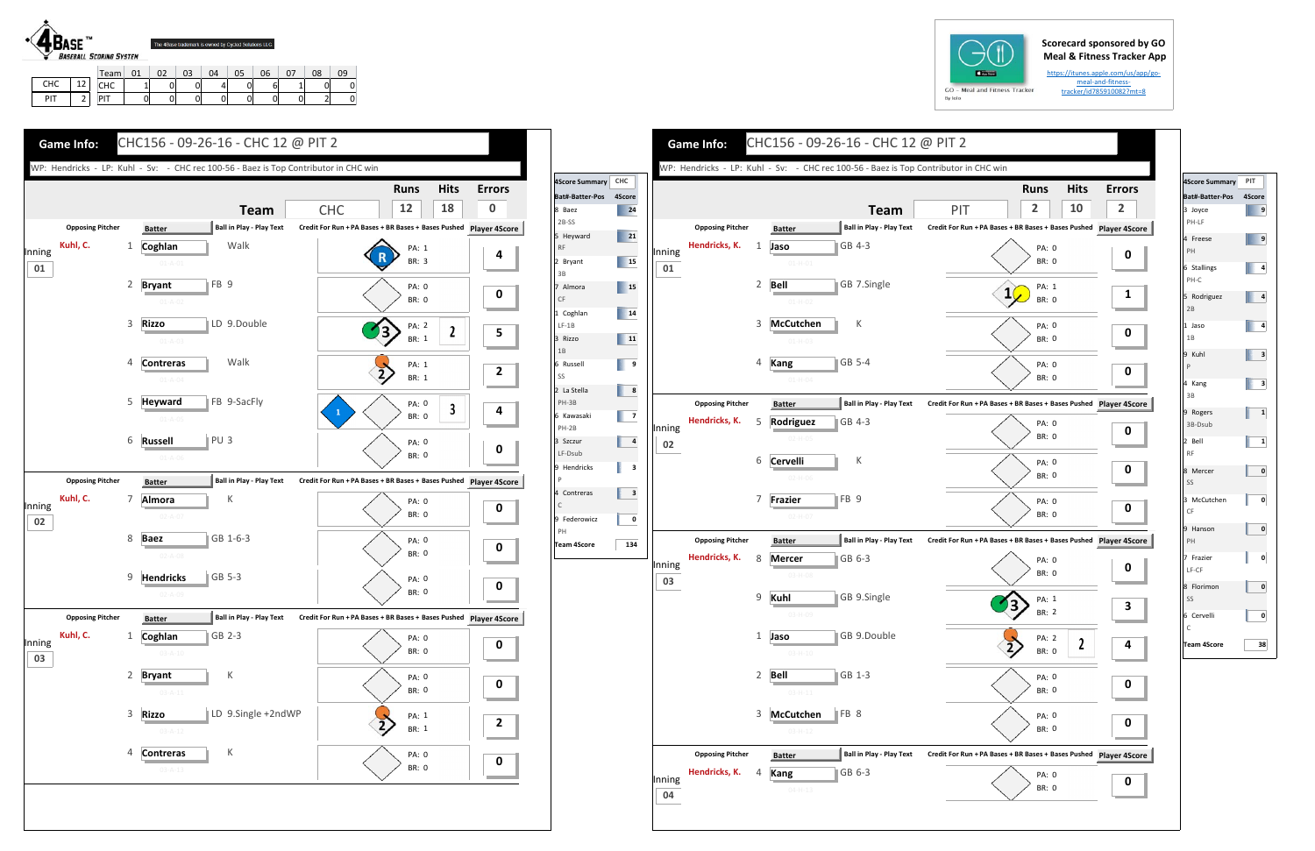## **Scorecard sponsored by GO Meal & Fitness Tracker App**

CHC 1 0 0 4 0 6 1 0 0 PIT | 0 0 0 0 0 0 0 0 0 2 0

https://itunes.apple.com/us/app/go‐ meal‐and‐fitness‐ tracker/id785910082?mt=8

CHC | 12 PIT 2



|                                                       | - 09-26-16 - CHC 12 @ PIT 2     |                                                                   |                            |    |   |  |  |  |  |
|-------------------------------------------------------|---------------------------------|-------------------------------------------------------------------|----------------------------|----|---|--|--|--|--|
| - CHC rec 100-56 - Baez is Top Contributor in CHC win |                                 |                                                                   |                            |    |   |  |  |  |  |
|                                                       |                                 |                                                                   | <b>Hits</b><br><b>Runs</b> |    |   |  |  |  |  |
|                                                       | <b>Team</b>                     | PIT                                                               | 2                          | 10 | 2 |  |  |  |  |
| r                                                     | <b>Ball in Play - Play Text</b> | Credit For Run + PA Bases + BR Bases + Bases Pushed Player 4Score |                            |    |   |  |  |  |  |
|                                                       | GB 4-3                          |                                                                   | PA: 0                      |    |   |  |  |  |  |
| $1 - H - 01$                                          |                                 |                                                                   | <b>BR: 0</b>               |    | 0 |  |  |  |  |
|                                                       | GB 7.Single                     |                                                                   | PA: 1                      |    |   |  |  |  |  |
| 1-H-02                                                |                                 | $\mathbf{1}$                                                      | <b>BR: 0</b>               |    | 1 |  |  |  |  |
| ıtchen                                                | К                               |                                                                   |                            |    |   |  |  |  |  |
| 1-H-03                                                |                                 |                                                                   | PA: 0<br><b>BR: 0</b>      |    | 0 |  |  |  |  |
|                                                       |                                 |                                                                   |                            |    |   |  |  |  |  |
|                                                       | GB 5-4                          |                                                                   | PA: 0<br><b>BR: 0</b>      |    | 0 |  |  |  |  |
| 1-H-04                                                |                                 |                                                                   |                            |    |   |  |  |  |  |
| r                                                     | <b>Ball in Play - Play Text</b> | Credit For Run + PA Bases + BR Bases + Bases Pushed Player 4Score |                            |    |   |  |  |  |  |
| iguez                                                 | GB 4-3                          |                                                                   | PA: 0                      |    | 0 |  |  |  |  |
| 2-H-05                                                |                                 |                                                                   | <b>BR: 0</b>               |    |   |  |  |  |  |
| elli                                                  | К                               |                                                                   | PA: 0                      |    |   |  |  |  |  |
| $2 - H - 06$                                          |                                 |                                                                   | BR: 0                      |    | 0 |  |  |  |  |
| er                                                    | FB <sub>9</sub>                 |                                                                   | <b>PA: 0</b>               |    |   |  |  |  |  |
| 2-H-07                                                |                                 |                                                                   | BR: 0                      |    | 0 |  |  |  |  |
| r                                                     | <b>Ball in Play - Play Text</b> | Credit For Run + PA Bases + BR Bases + Bases Pushed Player 4Score |                            |    |   |  |  |  |  |
| er                                                    | GB 6-3                          |                                                                   | PA: 0                      |    |   |  |  |  |  |
| $3-H-08$                                              |                                 |                                                                   | <b>BR: 0</b>               |    | O |  |  |  |  |
|                                                       | GB 9.Single                     |                                                                   |                            |    |   |  |  |  |  |
| $3 - H - O9$                                          |                                 |                                                                   | PA: 1<br>BR: 2             |    | З |  |  |  |  |
|                                                       |                                 |                                                                   |                            |    |   |  |  |  |  |
|                                                       | GB 9.Double                     |                                                                   | PA: 2<br>BR: 0             | 2  | 4 |  |  |  |  |
| $3 - H - 10$                                          |                                 |                                                                   |                            |    |   |  |  |  |  |
|                                                       | GB 1-3                          |                                                                   | PA: 0                      |    | U |  |  |  |  |
| $3 - H - 11$                                          |                                 |                                                                   | BR: 0                      |    |   |  |  |  |  |
| utchen                                                | FB 8                            |                                                                   | PA: 0                      |    | 0 |  |  |  |  |
| $3 - H - 12$                                          |                                 |                                                                   | BR: 0                      |    |   |  |  |  |  |
| r                                                     | <b>Ball in Play - Play Text</b> | Credit For Run + PA Bases + BR Bases + Bases Pushed Player 4Score |                            |    |   |  |  |  |  |
|                                                       | GB 6-3                          |                                                                   | PA: 0                      |    |   |  |  |  |  |
| 4-H-13                                                |                                 |                                                                   | BR: O                      |    | 0 |  |  |  |  |

|              | <b>Game Info:</b>                   | CHC156 - 09-26-16 - CHC 12 @ PIT 2                                                                                                                                                                                             |                                                                                                                                                                                       |                                                                            |                                                                                                                                                                                                                                           |                                         | <b>Game Info:</b>                        | CHC156 - 09-26-16 - CHC 12 @ PIT 2                                                                                                                                                                                         |                                                                                                                                                                                                                 |
|--------------|-------------------------------------|--------------------------------------------------------------------------------------------------------------------------------------------------------------------------------------------------------------------------------|---------------------------------------------------------------------------------------------------------------------------------------------------------------------------------------|----------------------------------------------------------------------------|-------------------------------------------------------------------------------------------------------------------------------------------------------------------------------------------------------------------------------------------|-----------------------------------------|------------------------------------------|----------------------------------------------------------------------------------------------------------------------------------------------------------------------------------------------------------------------------|-----------------------------------------------------------------------------------------------------------------------------------------------------------------------------------------------------------------|
|              |                                     | WP: Hendricks - LP: Kuhl - Sv: - CHC rec 100-56 - Baez is Top Contributor in CHC win                                                                                                                                           |                                                                                                                                                                                       |                                                                            |                                                                                                                                                                                                                                           |                                         |                                          | WP: Hendricks - LP: Kuhl - Sv: - CHC rec 100-56 - Baez is Top Contributor in CHC win                                                                                                                                       |                                                                                                                                                                                                                 |
| Inning<br>01 | <b>Opposing Pitcher</b><br>Kuhl, C. | <b>Team</b><br><b>Ball in Play - Play Text</b><br><b>Batter</b><br>Walk<br>Coghlan<br>$01 - A - 01$<br>FB <sub>9</sub><br>2 Bryant                                                                                             | <b>Hits</b><br><b>Runs</b><br>18<br>12<br><b>CHC</b><br>Credit For Run + PA Bases + BR Bases + Bases Pushed Player 4Score<br>PA: 1<br>BR: 3<br><b>PA: 0</b>                           | <b>Errors</b><br>$\bf{0}$<br>4<br>$\mathbf 0$                              | 4Score Summary CHC<br>Bat#-Batter-Pos 4Score<br>$\overline{\phantom{1}}$ 24<br>8 Baez<br>2B-SS<br>$\overline{\phantom{a}}$ 21<br>5 Heyward<br><b>RF</b><br>$\overline{\phantom{1}}$ 15<br>2 Bryant<br>3B<br>$\blacksquare$ 15<br>7 Almora | Inning<br>01                            | <b>Opposing Pitcher</b><br>Hendricks, K. | <b>Team</b><br><b>Ball in Play - Play Text</b><br><b>Batter</b><br>GB 4-3<br>Jaso<br>1<br>$01 - H - 01$<br><b>Bell</b><br>GB 7.Single<br>$\overline{2}$                                                                    | <b>Hits</b><br>Erro<br><b>Runs</b><br>$\overline{2}$<br>$\overline{2}$<br>10<br>PIT<br>Credit For Run + PA Bases + BR Bases + Bases Pushed Player 49<br>PA: 0<br><b>BR: 0</b><br>PA: 1<br>$1\sqrt{ }$           |
|              |                                     | $01 - A - 02$<br>LD 9.Double<br>3 Rizzo<br>$01 - A - 03$<br>Walk<br>4 Contreras<br>$01 - A - 04$                                                                                                                               | <b>BR: 0</b><br><b>PA: 2</b><br>$\mathbf{2}$<br>BR: 1<br>PA: 1<br>$\overline{2}$<br>BR: 1                                                                                             | 5<br>$\overline{2}$                                                        | CF<br>14<br>1 Coghlan<br>$LF-1B$<br>11<br>3 Rizzo<br>1B<br>$\overline{\phantom{0}}$<br>6 Russell<br>SS                                                                                                                                    |                                         |                                          | $01 - H - 02$<br>К<br>3 McCutchen<br>$01-H-03$<br>GB 5-4<br>Kang<br>4<br>$01 - H - 04$                                                                                                                                     | BR: 0<br><b>PA: 0</b><br><b>BR: 0</b><br>PA: 0<br><b>BR: 0</b>                                                                                                                                                  |
|              |                                     | <b>FB 9-SacFly</b><br>5 Heyward<br>$01 - A - 05$<br>PU <sub>3</sub><br>6 Russell<br>$01 - A - 06$                                                                                                                              | PA: 0<br>$\mathbf{3}$<br><b>BR: 0</b><br><b>PA: 0</b><br><b>BR: 0</b>                                                                                                                 | 4<br>0                                                                     | $\begin{array}{ c c } \hline \end{array}$ 8<br>2 La Stella<br>PH-3B<br>$\begin{array}{ c c c }\n\hline\n\end{array}$<br>6 Kawasaki<br>PH-2B<br>$\overline{\mathbf{4}}$<br>3 Szczur<br>LF-Dsub<br>9 Hendricks                              | Inning<br>02<br>$\overline{\mathbf{3}}$ | <b>Opposing Pitcher</b><br>Hendricks, K. | <b>Ball in Play - Play Text</b><br><b>Batter</b><br>-5<br><b>SGB</b> 4-3<br>Rodriguez<br>02-H-0!<br>К<br>6 Cervelli                                                                                                        | Credit For Run + PA Bases + BR Bases + Bases Pushed Player 49<br>PA: 0<br>BR: 0<br><b>PA: 0</b><br><b>BR: 0</b>                                                                                                 |
| Inning<br>02 | <b>Opposing Pitcher</b><br>Kuhl, C. | <b>Ball in Play - Play Text</b><br><b>Batter</b><br>7 Almora<br>К<br>$02 - A - 07$<br>8 Baez<br>GB 1-6-3<br>$02 - A - 08$<br>GB 5-3                                                                                            | Credit For Run + PA Bases + BR Bases + Bases Pushed<br><b>PA: 0</b><br><b>BR: 0</b><br><b>PA: 0</b><br><b>BR: 0</b>                                                                   | <b>Player 4Score</b><br>$\mathbf 0$<br>$\mathbf 0$                         | P<br>$\overline{\mathbf{3}}$<br>4 Contreras<br>C<br>9 Federowicz<br>PH<br>134<br><b>Team 4Score</b>                                                                                                                                       | $\mathbf{0}$<br>Inning                  | <b>Opposing Pitcher</b><br>Hendricks, K. | $02 - H - 06$<br>FB 9<br>7<br><b>Frazier</b><br>$02-H-07$<br><b>Ball in Play - Play Text</b><br><b>Batter</b><br>8<br><b>Mercer</b><br>GB 6-3<br>$03 - H - 08$                                                             | <b>PA: 0</b><br>BR: 0<br>Credit For Run + PA Bases + BR Bases + Bases Pushed Player 49<br>PA: 0<br><b>BR: 0</b>                                                                                                 |
| Inning<br>03 | <b>Opposing Pitcher</b><br>Kuhl, C. | 9 Hendricks<br>$02 - A - 09$<br><b>Ball in Play - Play Text</b><br><b>Batter</b><br>1 Coghlan<br>$ GB 2-3$<br>$03 - A - 10$<br>2 Bryant<br>$03 - A - 11$<br>3 Rizzo<br>LD 9.Single +2ndWP<br>$03 - A - 12$<br>К<br>4 Contreras | <b>PA: 0</b><br><b>BR: 0</b><br>Credit For Run + PA Bases + BR Bases + Bases Pushed Player 4Score<br>PA: 0<br><b>BR: 0</b><br><b>PA: 0</b><br><b>BR: 0</b><br>PA: 1<br>BR: 1<br>PA: 0 | $\mathbf 0$<br>$\mathbf 0$<br>$\mathbf 0$<br>$\overline{2}$<br>$\mathbf 0$ |                                                                                                                                                                                                                                           | 03                                      | <b>Opposing Pitcher</b>                  | 9 Kuhl<br>GB 9.Single<br>03-H-09<br>GB 9.Double<br>1<br>Jaso<br>$03 - H - 10$<br>2 Bell<br>GB 1-3<br>$03 - H - 11$<br>3 McCutchen<br>$\parallel$ FB 8<br>$03 - H - 12$<br><b>Ball in Play - Play Text</b><br><b>Batter</b> | PA: 1<br>$\mathcal{V}$<br>BR: 2<br>PA: 2<br>$\overline{\mathbf{2}}$<br>BR: 0<br>PA: 0<br>$\mathbf 0$<br>BR: 0<br>PA: 0<br>$\mathbf 0$<br>BR: 0<br>Credit For Run + PA Bases + BR Bases + Bases Pushed Player 49 |
|              |                                     | $03 - A - 13$                                                                                                                                                                                                                  | BR: 0                                                                                                                                                                                 | <b>The Committee of the Committee</b>                                      |                                                                                                                                                                                                                                           | Inning<br>04                            | Hendricks, K.                            | GB 6-3<br>Kang<br>4<br>$04 - H - 13$                                                                                                                                                                                       | PA: 0<br>$\mathbf 0$<br>BR: 0                                                                                                                                                                                   |



| 4Score Summary             | PIT          |
|----------------------------|--------------|
| Bat#-Batter-Pos            | 4Score       |
| 3 Joyce<br>PH-LF           | 9            |
| 4 Freese<br>PH             | 9            |
| 6 Stallings<br>PH-C        | 4            |
| 5 Rodriguez<br>2B          | 4            |
| 1 Jaso<br>1B               | 4            |
| 9 Kuhl<br>$\mathsf{P}$     | з            |
| 4 Kang<br>3B               | з            |
| 9 Rogers<br>3B-Dsub        | $\mathbf{1}$ |
| 2 Bell<br><b>RF</b>        | 1            |
| 8 Mercer<br>SS             | 0            |
| 3 McCutchen<br>CF          | 0            |
| 9 Hanson<br>PH             | 0            |
| 7 Frazier<br>LF-CF         | 0            |
| 8 Florimon<br>SS           | 0            |
| 6 Cervelli<br>$\mathsf{C}$ | 0            |
| Team 4Score                | 38           |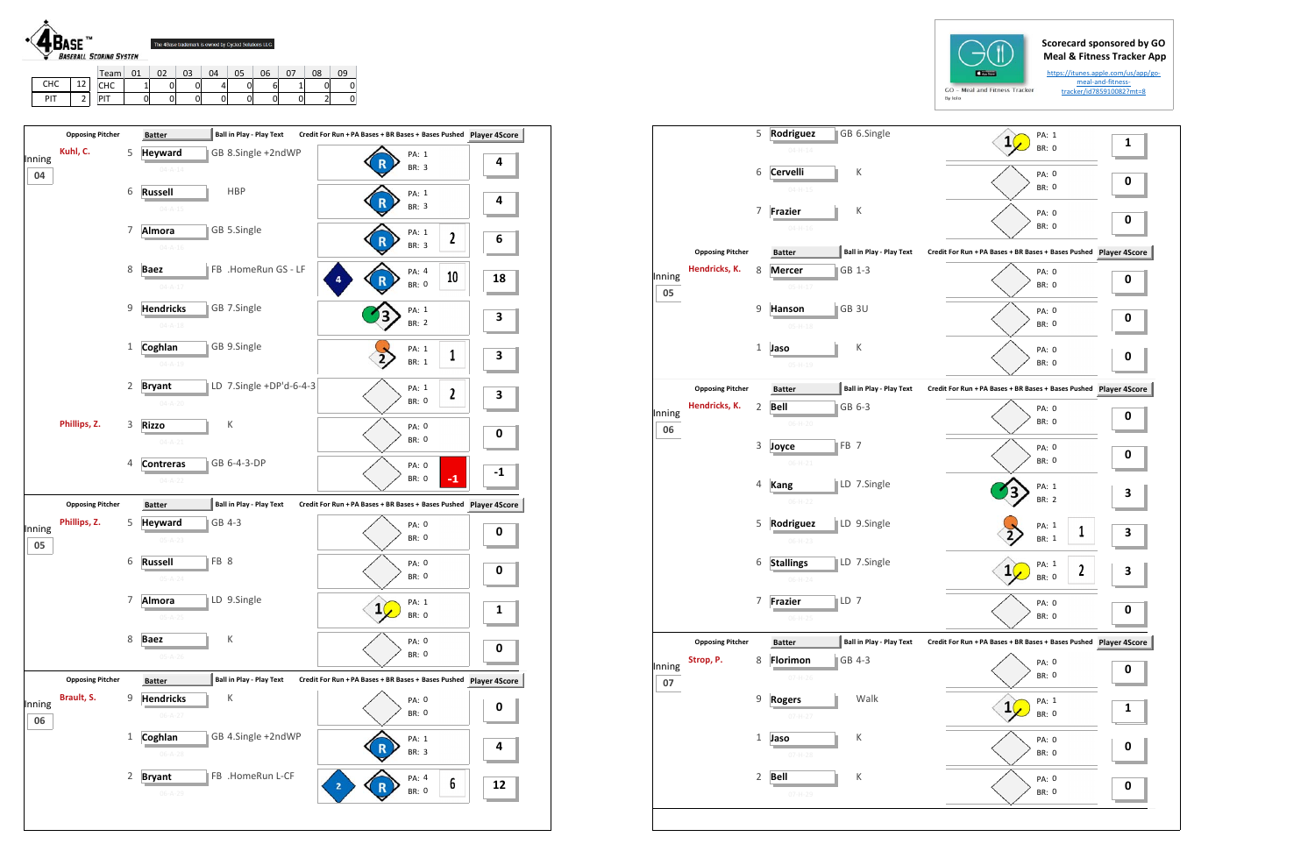





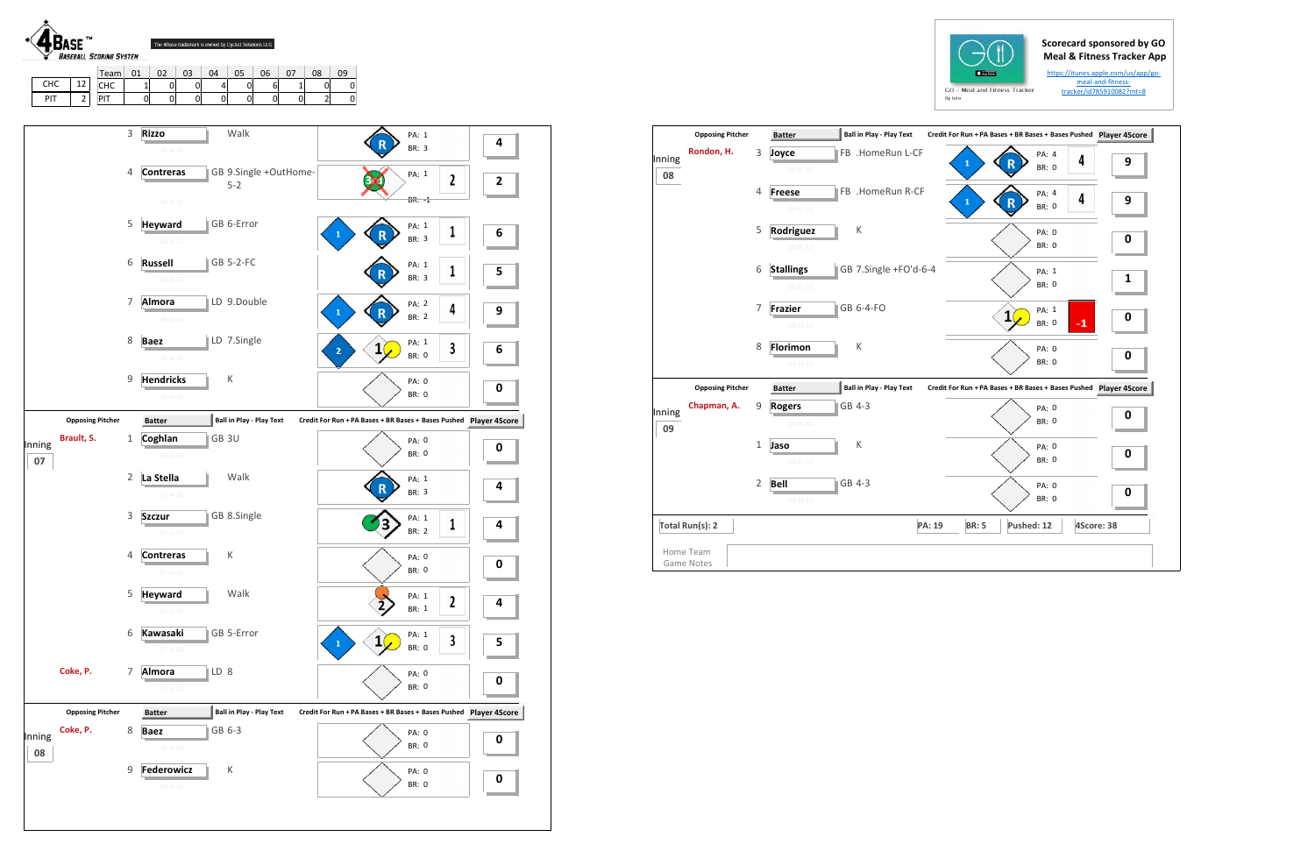## **Scorecard sponsored by GO Meal & Fitness Tracker App**

https://itunes.apple.com/us/app/go‐ meal‐and‐fitness‐ tracker/id785910082?mt=8







|              | <b>Opposing Pitcher</b>        |                | <b>Batter</b>                    | <b>Ball in Play - Play Text</b> |        |              | Credit For Run + PA Bases + BR Bases + Bases Pushed Player 4S |                       |      |            |
|--------------|--------------------------------|----------------|----------------------------------|---------------------------------|--------|--------------|---------------------------------------------------------------|-----------------------|------|------------|
| Inning<br>08 | Rondon, H.                     | 3              | Joyce<br>$08 - H - 30$           | FB .HomeRun L-CF                |        | 1            |                                                               | PA: 4<br><b>BR: 0</b> | 4    | 9          |
|              |                                | $\overline{4}$ | <b>Freese</b><br>$08 - H - 31$   | FB .HomeRun R-CF                |        | $\mathbf{1}$ | R                                                             | PA: 4<br><b>BR: 0</b> | 4    | 9          |
|              |                                | 5              | Rodriguez<br>$08 - H - 32$       | К                               |        |              |                                                               | PA: 0<br><b>BR: 0</b> |      | 0          |
|              |                                | 6              | <b>Stallings</b><br>08-H-33      | GB 7.Single +FO'd-6-4           |        |              |                                                               | PA: 1<br><b>BR: 0</b> |      | 1          |
|              |                                | $\overline{7}$ | <b>Frazier</b><br>$08 - H - 34$  | GB 6-4-FO                       |        |              | 1                                                             | PA: 1<br><b>BR: 0</b> | $-1$ | 0          |
|              |                                | 8              | <b>Florimon</b><br>$08 - H - 35$ | К                               |        |              |                                                               | PA: 0<br><b>BR: 0</b> |      | 0          |
|              | <b>Opposing Pitcher</b>        |                | <b>Batter</b>                    | <b>Ball in Play - Play Text</b> |        |              | Credit For Run + PA Bases + BR Bases + Bases Pushed           |                       |      | Player 4S  |
| Inning<br>09 | Chapman, A.                    | 9              | <b>Rogers</b><br>09-H-36         | GB 4-3                          |        |              |                                                               | PA: 0<br><b>BR: 0</b> |      | 0          |
|              |                                | $\mathbf{1}$   | Jaso<br>09-H-37                  | К                               |        |              |                                                               | PA: 0<br><b>BR: 0</b> |      | 0          |
|              |                                | 2              | <b>Bell</b><br>09-H-38           | GB 4-3                          |        |              |                                                               | PA: 0<br><b>BR: 0</b> |      | 0          |
|              | Total Run(s): 2                |                |                                  |                                 | PA: 19 | <b>BR: 5</b> | Pushed: 12                                                    |                       |      | 4Score: 38 |
|              | Home Team<br><b>Game Notes</b> |                |                                  |                                 |        |              |                                                               |                       |      |            |